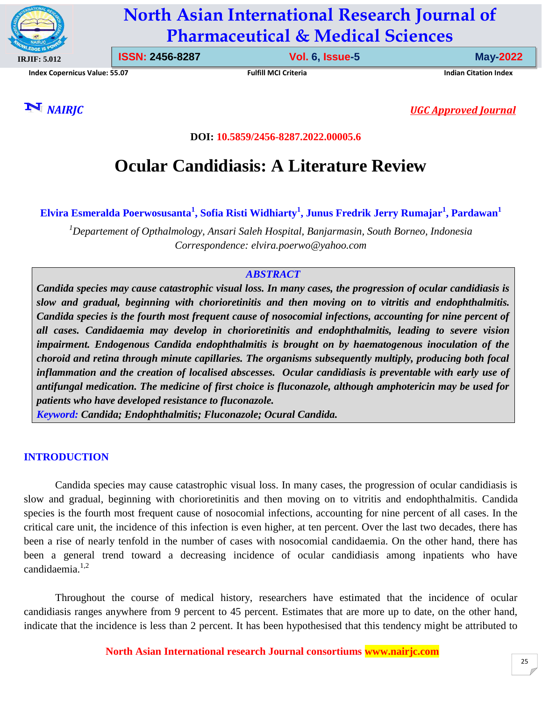

# **North Asian International Research Journal of Pharmaceutical & Medical Sciences**

**Index Copernicus Value: 55.07 Fulfill MCI Criteria Indian Citation Index**

**ISSN: 2456-8287 Vol. 6, Issue-5 May-2022**

*NAIRJC**UGC Approved Journal*

**DOI: 10.5859/2456-8287.2022.00005.6**

# **Ocular Candidiasis: A Literature Review**

**Elvira Esmeralda Poerwosusanta<sup>1</sup> , Sofia Risti Widhiarty<sup>1</sup> , Junus Fredrik Jerry Rumajar<sup>1</sup> , Pardawan<sup>1</sup>**

*<sup>1</sup>Departement of Opthalmology, Ansari Saleh Hospital, Banjarmasin, South Borneo, Indonesia Correspondence: elvira.poerwo@yahoo.com*

## *ABSTRACT*

*Candida species may cause catastrophic visual loss. In many cases, the progression of ocular candidiasis is slow and gradual, beginning with chorioretinitis and then moving on to vitritis and endophthalmitis. Candida species is the fourth most frequent cause of nosocomial infections, accounting for nine percent of all cases. Candidaemia may develop in chorioretinitis and endophthalmitis, leading to severe vision impairment. Endogenous Candida endophthalmitis is brought on by haematogenous inoculation of the choroid and retina through minute capillaries. The organisms subsequently multiply, producing both focal inflammation and the creation of localised abscesses. Ocular candidiasis is preventable with early use of antifungal medication. The medicine of first choice is fluconazole, although amphotericin may be used for patients who have developed resistance to fluconazole.*

*Keyword: Candida; Endophthalmitis; Fluconazole; Ocural Candida.*

# **INTRODUCTION**

Candida species may cause catastrophic visual loss. In many cases, the progression of ocular candidiasis is slow and gradual, beginning with chorioretinitis and then moving on to vitritis and endophthalmitis. Candida species is the fourth most frequent cause of nosocomial infections, accounting for nine percent of all cases. In the critical care unit, the incidence of this infection is even higher, at ten percent. Over the last two decades, there has been a rise of nearly tenfold in the number of cases with nosocomial candidaemia. On the other hand, there has been a general trend toward a decreasing incidence of ocular candidiasis among inpatients who have candidaemia. $1,2$ 

Throughout the course of medical history, researchers have estimated that the incidence of ocular candidiasis ranges anywhere from 9 percent to 45 percent. Estimates that are more up to date, on the other hand, indicate that the incidence is less than 2 percent. It has been hypothesised that this tendency might be attributed to

**North Asian International research Journal consortiums www.nairjc.com**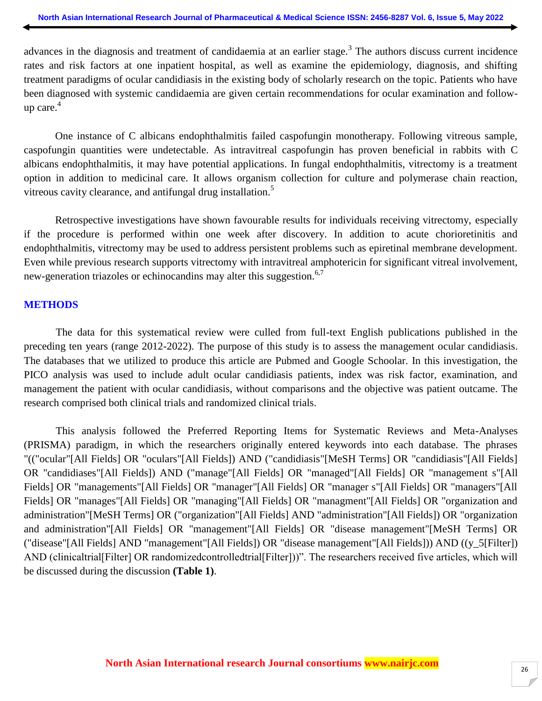advances in the diagnosis and treatment of candidaemia at an earlier stage.<sup>3</sup> The authors discuss current incidence rates and risk factors at one inpatient hospital, as well as examine the epidemiology, diagnosis, and shifting treatment paradigms of ocular candidiasis in the existing body of scholarly research on the topic. Patients who have been diagnosed with systemic candidaemia are given certain recommendations for ocular examination and followup care. 4

One instance of C albicans endophthalmitis failed caspofungin monotherapy. Following vitreous sample, caspofungin quantities were undetectable. As intravitreal caspofungin has proven beneficial in rabbits with C albicans endophthalmitis, it may have potential applications. In fungal endophthalmitis, vitrectomy is a treatment option in addition to medicinal care. It allows organism collection for culture and polymerase chain reaction, vitreous cavity clearance, and antifungal drug installation.<sup>5</sup>

Retrospective investigations have shown favourable results for individuals receiving vitrectomy, especially if the procedure is performed within one week after discovery. In addition to acute chorioretinitis and endophthalmitis, vitrectomy may be used to address persistent problems such as epiretinal membrane development. Even while previous research supports vitrectomy with intravitreal amphotericin for significant vitreal involvement, new-generation triazoles or echinocandins may alter this suggestion.<sup>6,7</sup>

#### **METHODS**

The data for this systematical review were culled from full-text English publications published in the preceding ten years (range 2012-2022). The purpose of this study is to assess the management ocular candidiasis. The databases that we utilized to produce this article are Pubmed and Google Schoolar. In this investigation, the PICO analysis was used to include adult ocular candidiasis patients, index was risk factor, examination, and management the patient with ocular candidiasis, without comparisons and the objective was patient outcame. The research comprised both clinical trials and randomized clinical trials.

This analysis followed the Preferred Reporting Items for Systematic Reviews and Meta-Analyses (PRISMA) paradigm, in which the researchers originally entered keywords into each database. The phrases "(("ocular"[All Fields] OR "oculars"[All Fields]) AND ("candidiasis"[MeSH Terms] OR "candidiasis"[All Fields] OR "candidiases"[All Fields]) AND ("manage"[All Fields] OR "managed"[All Fields] OR "management s"[All Fields] OR "managements"[All Fields] OR "manager"[All Fields] OR "manager s"[All Fields] OR "managers"[All Fields] OR "manages"[All Fields] OR "managing"[All Fields] OR "managment"[All Fields] OR "organization and administration"[MeSH Terms] OR ("organization"[All Fields] AND "administration"[All Fields]) OR "organization and administration"[All Fields] OR "management"[All Fields] OR "disease management"[MeSH Terms] OR ("disease"[All Fields] AND "management"[All Fields]) OR "disease management"[All Fields])) AND ((y\_5[Filter]) AND (clinicaltrial[Filter] OR randomizedcontrolledtrial[Filter]))". The researchers received five articles, which will be discussed during the discussion **(Table 1)**.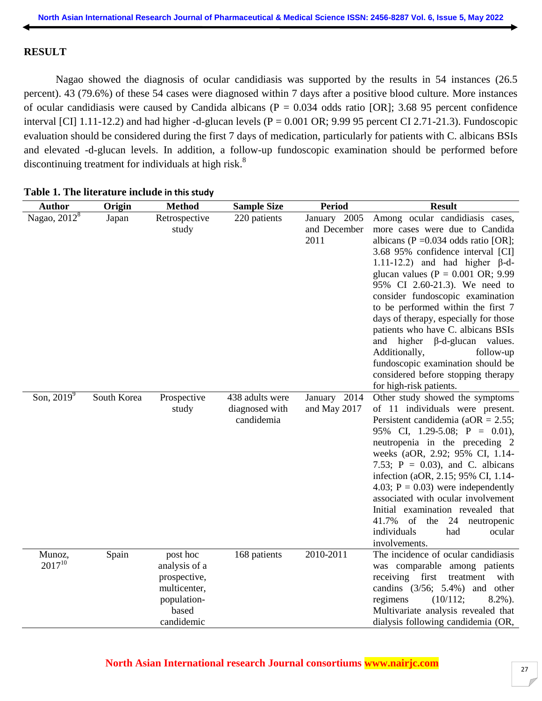## **RESULT**

Nagao showed the diagnosis of ocular candidiasis was supported by the results in 54 instances (26.5 percent). 43 (79.6%) of these 54 cases were diagnosed within 7 days after a positive blood culture. More instances of ocular candidiasis were caused by Candida albicans ( $P = 0.034$  odds ratio [OR]; 3.68 95 percent confidence interval [CI] 1.11-12.2) and had higher -d-glucan levels ( $P = 0.001$  OR; 9.99 95 percent CI 2.71-21.3). Fundoscopic evaluation should be considered during the first 7 days of medication, particularly for patients with C. albicans BSIs and elevated -d-glucan levels. In addition, a follow-up fundoscopic examination should be performed before discontinuing treatment for individuals at high risk.<sup>8</sup>

| <b>Author</b>         | Origin      | <b>Method</b>                                                                                   | <b>Sample Size</b>                              | <b>Period</b>                        | <b>Result</b>                                                                                                                                                                                                                                                                                                                                                                                                                                                                                                                                                                                              |
|-----------------------|-------------|-------------------------------------------------------------------------------------------------|-------------------------------------------------|--------------------------------------|------------------------------------------------------------------------------------------------------------------------------------------------------------------------------------------------------------------------------------------------------------------------------------------------------------------------------------------------------------------------------------------------------------------------------------------------------------------------------------------------------------------------------------------------------------------------------------------------------------|
| Nagao, $2012^8$       | Japan       | Retrospective<br>study                                                                          | 220 patients                                    | January 2005<br>and December<br>2011 | Among ocular candidiasis cases,<br>more cases were due to Candida<br>albicans (P = $0.034$ odds ratio [OR];<br>3.68 95% confidence interval [CI]<br>1.11-12.2) and had higher $\beta$ -d-<br>glucan values ( $P = 0.001$ OR; 9.99<br>95% CI 2.60-21.3). We need to<br>consider fundoscopic examination<br>to be performed within the first 7<br>days of therapy, especially for those<br>patients who have C. albicans BSIs<br>and higher<br>$\beta$ -d-glucan values.<br>Additionally,<br>follow-up<br>fundoscopic examination should be<br>considered before stopping therapy<br>for high-risk patients. |
| Son, $2019^9$         | South Korea | Prospective<br>study                                                                            | 438 adults were<br>diagnosed with<br>candidemia | January 2014<br>and May 2017         | Other study showed the symptoms<br>of 11 individuals were present.<br>Persistent candidemia ( $aOR = 2.55$ ;<br>95% CI, 1.29-5.08; $P = 0.01$ ),<br>neutropenia in the preceding 2<br>weeks (aOR, 2.92; 95% CI, 1.14-<br>7.53; $P = 0.03$ ), and C. albicans<br>infection (aOR, 2.15; 95% CI, 1.14-<br>4.03; $P = 0.03$ ) were independently<br>associated with ocular involvement<br>Initial examination revealed that<br>41.7%<br>of the<br>24<br>neutropenic<br>individuals<br>had<br>ocular<br>involvements.                                                                                           |
| Munoz,<br>$2017^{10}$ | Spain       | post hoc<br>analysis of a<br>prospective,<br>multicenter,<br>population-<br>based<br>candidemic | 168 patients                                    | 2010-2011                            | The incidence of ocular candidiasis<br>was comparable among patients<br>first<br>receiving<br>treatment<br>with<br>candins $(3/56; 5.4%)$ and other<br>(10/112;<br>regimens<br>$8.2\%$ ).<br>Multivariate analysis revealed that<br>dialysis following candidemia (OR,                                                                                                                                                                                                                                                                                                                                     |

## **Table 1. The literature include in this study**

# **North Asian International research Journal consortiums www.nairjc.com**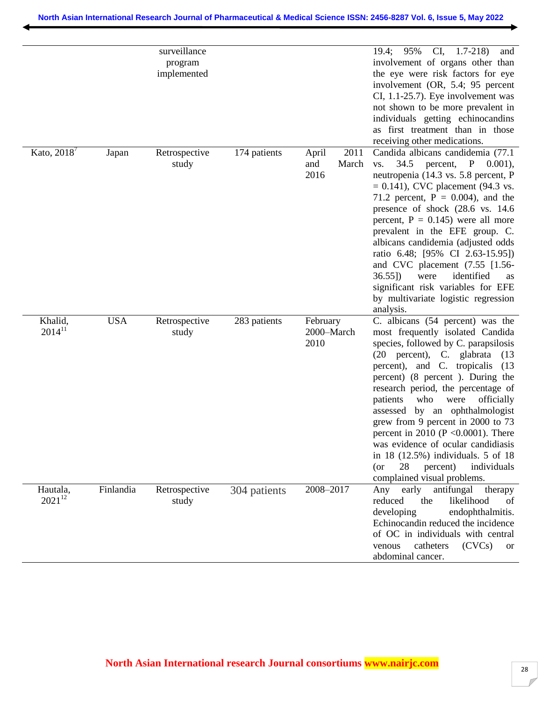|                         |            | surveillance<br>program<br>implemented |              |                                       | $CI, 1.7-218$<br>19.4; 95%<br>and<br>involvement of organs other than<br>the eye were risk factors for eye<br>involvement (OR, 5.4; 95 percent<br>CI, 1.1-25.7). Eye involvement was<br>not shown to be more prevalent in<br>individuals getting echinocandins<br>as first treatment than in those<br>receiving other medications.                                                                                                                                                                                                                                                 |
|-------------------------|------------|----------------------------------------|--------------|---------------------------------------|------------------------------------------------------------------------------------------------------------------------------------------------------------------------------------------------------------------------------------------------------------------------------------------------------------------------------------------------------------------------------------------------------------------------------------------------------------------------------------------------------------------------------------------------------------------------------------|
| Kato, 2018 <sup>7</sup> | Japan      | Retrospective<br>study                 | 174 patients | 2011<br>April<br>and<br>March<br>2016 | Candida albicans candidemia (77.1)<br>34.5 percent, P 0.001),<br>VS.<br>neutropenia (14.3 vs. 5.8 percent, P<br>$= 0.141$ , CVC placement (94.3 vs.<br>71.2 percent, $P = 0.004$ ), and the<br>presence of shock (28.6 vs. 14.6)<br>percent, $P = 0.145$ ) were all more<br>prevalent in the EFE group. C.<br>albicans candidemia (adjusted odds<br>ratio 6.48; [95% CI 2.63-15.95])<br>and CVC placement $(7.55 \; [1.56$ -<br>identified<br>$36.55$ ])<br>were<br>as<br>significant risk variables for EFE<br>by multivariate logistic regression<br>analysis.                   |
| Khalid,<br>$2014^{11}$  | <b>USA</b> | Retrospective<br>study                 | 283 patients | February<br>2000-March<br>2010        | C. albicans (54 percent) was the<br>most frequently isolated Candida<br>species, followed by C. parapsilosis<br>(20 percent), C. glabrata<br>(13)<br>percent), and C. tropicalis<br>(13)<br>percent) (8 percent). During the<br>research period, the percentage of<br>patients<br>who<br>officially<br>were<br>assessed by an ophthalmologist<br>grew from 9 percent in 2000 to 73<br>percent in 2010 ( $P \le 0.0001$ ). There<br>was evidence of ocular candidiasis<br>in 18 (12.5%) individuals. 5 of 18<br>28<br>percent)<br>individuals<br>(or<br>complained visual problems. |
| Hautala,<br>$2021^{12}$ | Finlandia  | Retrospective<br>study                 | 304 patients | 2008-2017                             | antifungal<br>early<br>therapy<br>Any<br>reduced<br>the<br>likelihood<br>of<br>developing<br>endophthalmitis.<br>Echinocandin reduced the incidence<br>of OC in individuals with central<br>catheters<br>(CVCs)<br>venous<br><b>or</b><br>abdominal cancer.                                                                                                                                                                                                                                                                                                                        |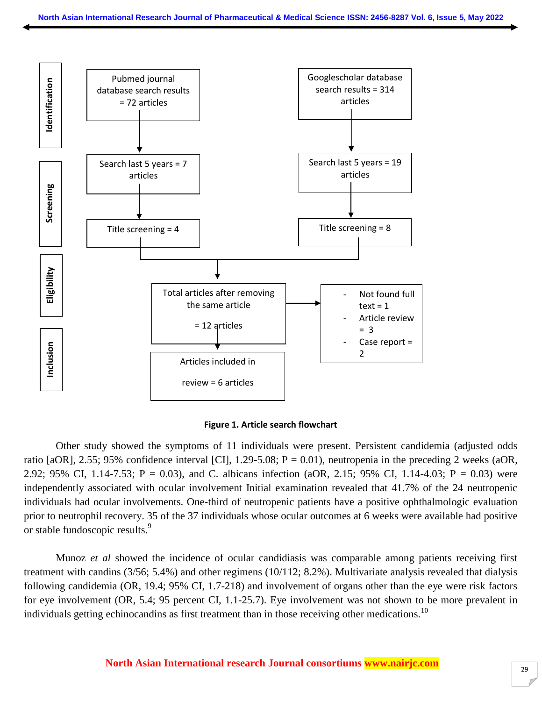



Other study showed the symptoms of 11 individuals were present. Persistent candidemia (adjusted odds ratio [aOR], 2.55; 95% confidence interval [CI], 1.29-5.08;  $P = 0.01$ ), neutropenia in the preceding 2 weeks (aOR, 2.92; 95% CI, 1.14-7.53;  $P = 0.03$ ), and C. albicans infection (aOR, 2.15; 95% CI, 1.14-4.03;  $P = 0.03$ ) were independently associated with ocular involvement Initial examination revealed that 41.7% of the 24 neutropenic individuals had ocular involvements. One-third of neutropenic patients have a positive ophthalmologic evaluation prior to neutrophil recovery. 35 of the 37 individuals whose ocular outcomes at 6 weeks were available had positive or stable fundoscopic results.<sup>9</sup>

Munoz *et al* showed the incidence of ocular candidiasis was comparable among patients receiving first treatment with candins (3/56; 5.4%) and other regimens (10/112; 8.2%). Multivariate analysis revealed that dialysis following candidemia (OR, 19.4; 95% CI, 1.7-218) and involvement of organs other than the eye were risk factors for eye involvement (OR, 5.4; 95 percent CI, 1.1-25.7). Eye involvement was not shown to be more prevalent in individuals getting echinocandins as first treatment than in those receiving other medications.<sup>10</sup>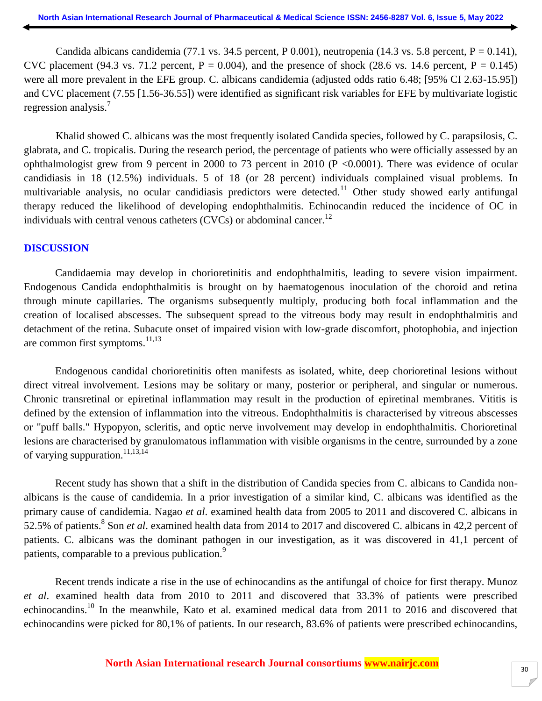Candida albicans candidemia (77.1 vs. 34.5 percent, P 0.001), neutropenia (14.3 vs. 5.8 percent, P = 0.141), CVC placement (94.3 vs. 71.2 percent,  $P = 0.004$ ), and the presence of shock (28.6 vs. 14.6 percent,  $P = 0.145$ ) were all more prevalent in the EFE group. C. albicans candidemia (adjusted odds ratio 6.48; [95% CI 2.63-15.95]) and CVC placement (7.55 [1.56-36.55]) were identified as significant risk variables for EFE by multivariate logistic regression analysis.<sup>7</sup>

Khalid showed C. albicans was the most frequently isolated Candida species, followed by C. parapsilosis, C. glabrata, and C. tropicalis. During the research period, the percentage of patients who were officially assessed by an ophthalmologist grew from 9 percent in 2000 to 73 percent in 2010 (P <0.0001). There was evidence of ocular candidiasis in 18 (12.5%) individuals. 5 of 18 (or 28 percent) individuals complained visual problems. In multivariable analysis, no ocular candidiasis predictors were detected.<sup>11</sup> Other study showed early antifungal therapy reduced the likelihood of developing endophthalmitis. Echinocandin reduced the incidence of OC in individuals with central venous catheters (CVCs) or abdominal cancer.<sup>12</sup>

#### **DISCUSSION**

Candidaemia may develop in chorioretinitis and endophthalmitis, leading to severe vision impairment. Endogenous Candida endophthalmitis is brought on by haematogenous inoculation of the choroid and retina through minute capillaries. The organisms subsequently multiply, producing both focal inflammation and the creation of localised abscesses. The subsequent spread to the vitreous body may result in endophthalmitis and detachment of the retina. Subacute onset of impaired vision with low-grade discomfort, photophobia, and injection are common first symptoms. $11,13$ 

Endogenous candidal chorioretinitis often manifests as isolated, white, deep chorioretinal lesions without direct vitreal involvement. Lesions may be solitary or many, posterior or peripheral, and singular or numerous. Chronic transretinal or epiretinal inflammation may result in the production of epiretinal membranes. Vititis is defined by the extension of inflammation into the vitreous. Endophthalmitis is characterised by vitreous abscesses or "puff balls." Hypopyon, scleritis, and optic nerve involvement may develop in endophthalmitis. Chorioretinal lesions are characterised by granulomatous inflammation with visible organisms in the centre, surrounded by a zone of varying suppuration.<sup>11,13,14</sup>

Recent study has shown that a shift in the distribution of Candida species from C. albicans to Candida nonalbicans is the cause of candidemia. In a prior investigation of a similar kind, C. albicans was identified as the primary cause of candidemia. Nagao *et al*. examined health data from 2005 to 2011 and discovered C. albicans in 52.5% of patients.<sup>8</sup> Son *et al*. examined health data from 2014 to 2017 and discovered C. albicans in 42,2 percent of patients. C. albicans was the dominant pathogen in our investigation, as it was discovered in 41,1 percent of patients, comparable to a previous publication.<sup>9</sup>

Recent trends indicate a rise in the use of echinocandins as the antifungal of choice for first therapy. Munoz *et al*. examined health data from 2010 to 2011 and discovered that 33.3% of patients were prescribed echinocandins.<sup>10</sup> In the meanwhile, Kato et al. examined medical data from 2011 to 2016 and discovered that echinocandins were picked for 80,1% of patients. In our research, 83.6% of patients were prescribed echinocandins,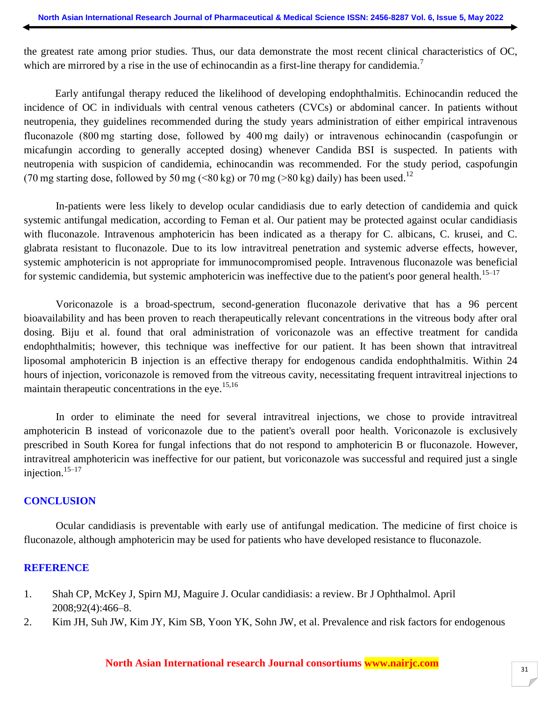the greatest rate among prior studies. Thus, our data demonstrate the most recent clinical characteristics of OC, which are mirrored by a rise in the use of echinocandin as a first-line therapy for candidemia.<sup>7</sup>

Early antifungal therapy reduced the likelihood of developing endophthalmitis. Echinocandin reduced the incidence of OC in individuals with central venous catheters (CVCs) or abdominal cancer. In patients without neutropenia, they guidelines recommended during the study years administration of either empirical intravenous fluconazole (800 mg starting dose, followed by 400 mg daily) or intravenous echinocandin (caspofungin or micafungin according to generally accepted dosing) whenever Candida BSI is suspected. In patients with neutropenia with suspicion of candidemia, echinocandin was recommended. For the study period, caspofungin (70 mg starting dose, followed by 50 mg (<80 kg) or 70 mg (>80 kg) daily) has been used.<sup>12</sup>

In-patients were less likely to develop ocular candidiasis due to early detection of candidemia and quick systemic antifungal medication, according to Feman et al. Our patient may be protected against ocular candidiasis with fluconazole. Intravenous amphotericin has been indicated as a therapy for C. albicans, C. krusei, and C. glabrata resistant to fluconazole. Due to its low intravitreal penetration and systemic adverse effects, however, systemic amphotericin is not appropriate for immunocompromised people. Intravenous fluconazole was beneficial for systemic candidemia, but systemic amphotericin was ineffective due to the patient's poor general health.<sup>15–17</sup>

Voriconazole is a broad-spectrum, second-generation fluconazole derivative that has a 96 percent bioavailability and has been proven to reach therapeutically relevant concentrations in the vitreous body after oral dosing. Biju et al. found that oral administration of voriconazole was an effective treatment for candida endophthalmitis; however, this technique was ineffective for our patient. It has been shown that intravitreal liposomal amphotericin B injection is an effective therapy for endogenous candida endophthalmitis. Within 24 hours of injection, voriconazole is removed from the vitreous cavity, necessitating frequent intravitreal injections to maintain therapeutic concentrations in the eye.<sup>15,16</sup>

In order to eliminate the need for several intravitreal injections, we chose to provide intravitreal amphotericin B instead of voriconazole due to the patient's overall poor health. Voriconazole is exclusively prescribed in South Korea for fungal infections that do not respond to amphotericin B or fluconazole. However, intravitreal amphotericin was ineffective for our patient, but voriconazole was successful and required just a single injection.<sup>15</sup>–<sup>17</sup>

#### **CONCLUSION**

Ocular candidiasis is preventable with early use of antifungal medication. The medicine of first choice is fluconazole, although amphotericin may be used for patients who have developed resistance to fluconazole.

#### **REFERENCE**

- 1. Shah CP, McKey J, Spirn MJ, Maguire J. Ocular candidiasis: a review. Br J Ophthalmol. April 2008;92(4):466–8.
- 2. Kim JH, Suh JW, Kim JY, Kim SB, Yoon YK, Sohn JW, et al. Prevalence and risk factors for endogenous